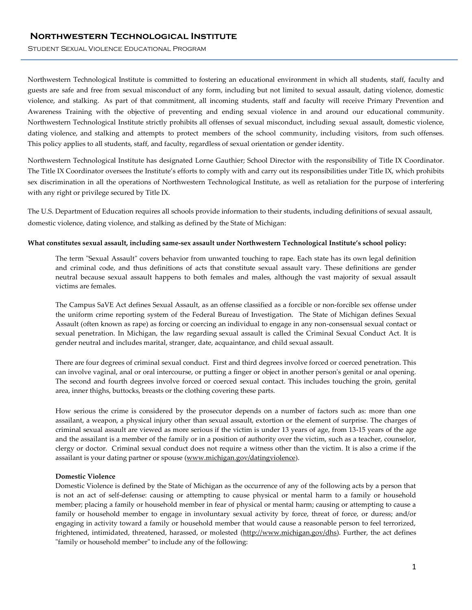Student Sexual Violence Educational Program

Northwestern Technological Institute is committed to fostering an educational environment in which all students, staff, faculty and guests are safe and free from sexual misconduct of any form, including but not limited to sexual assault, dating violence, domestic violence, and stalking. As part of that commitment, all incoming students, staff and faculty will receive Primary Prevention and Awareness Training with the objective of preventing and ending sexual violence in and around our educational community. Northwestern Technological Institute strictly prohibits all offenses of sexual misconduct, including sexual assault, domestic violence, dating violence, and stalking and attempts to protect members of the school community, including visitors, from such offenses. This policy applies to all students, staff, and faculty, regardless of sexual orientation or gender identity.

Northwestern Technological Institute has designated Lorne Gauthier; School Director with the responsibility of Title IX Coordinator. The Title IX Coordinator oversees the Institute's efforts to comply with and carry out its responsibilities under Title IX, which prohibits sex discrimination in all the operations of Northwestern Technological Institute, as well as retaliation for the purpose of interfering with any right or privilege secured by Title IX.

The U.S. Department of Education requires all schools provide information to their students, including definitions of sexual assault, domestic violence, dating violence, and stalking as defined by the State of Michigan:

#### **What constitutes sexual assault, including same-sex assault under Northwestern Technological Institute's school policy:**

The term "Sexual Assault" covers behavior from unwanted touching to rape. Each state has its own legal definition and criminal code, and thus definitions of acts that constitute sexual assault vary. These definitions are gender neutral because sexual assault happens to both females and males, although the vast majority of sexual assault victims are females.

The Campus SaVE Act defines Sexual Assault, as an offense classified as a forcible or non-forcible sex offense under the uniform crime reporting system of the Federal Bureau of Investigation. The State of Michigan defines Sexual Assault (often known as rape) as forcing or coercing an individual to engage in any non-consensual sexual contact or sexual penetration. In Michigan, the law regarding sexual assault is called the Criminal Sexual Conduct Act. It is gender neutral and includes marital, stranger, date, acquaintance, and child sexual assault.

There are four degrees of criminal sexual conduct. First and third degrees involve forced or coerced penetration. This can involve vaginal, anal or oral intercourse, or putting a finger or object in another person's genital or anal opening. The second and fourth degrees involve forced or coerced sexual contact. This includes touching the groin, genital area, inner thighs, buttocks, breasts or the clothing covering these parts.

How serious the crime is considered by the prosecutor depends on a number of factors such as: more than one assailant, a weapon, a physical injury other than sexual assault, extortion or the element of surprise. The charges of criminal sexual assault are viewed as more serious if the victim is under 13 years of age, from 13-15 years of the age and the assailant is a member of the family or in a position of authority over the victim, such as a teacher, counselor, clergy or doctor. Criminal sexual conduct does not require a witness other than the victim. It is also a crime if the assailant is your dating partner or spouse [\(www.michigan.gov/datingviolence\)](http://www.michigan.gov/datingviolence).

# **Domestic Violence**

Domestic Violence is defined by the State of Michigan as the occurrence of any of the following acts by a person that is not an act of self-defense: causing or attempting to cause physical or mental harm to a family or household member; placing a family or household member in fear of physical or mental harm; causing or attempting to cause a family or household member to engage in involuntary sexual activity by force, threat of force, or duress; and/or engaging in activity toward a family or household member that would cause a reasonable person to feel terrorized, frightened, intimidated, threatened, harassed, or molested [\(http://www.michigan.gov/dhs\)](http://www.michigan.gov/dhs). Further, the act defines "family or household member" to include any of the following: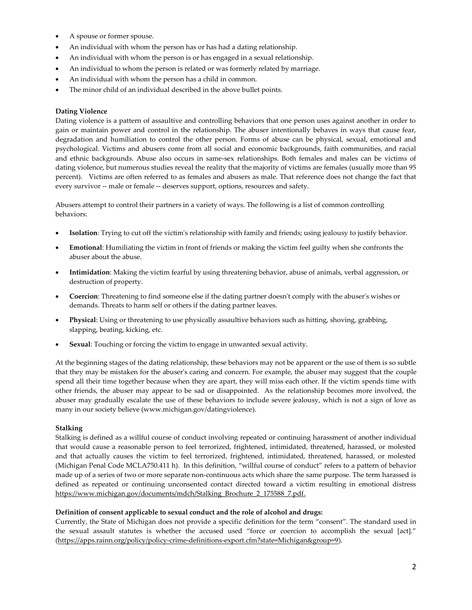- A spouse or former spouse.
- An individual with whom the person has or has had a dating relationship.
- An individual with whom the person is or has engaged in a sexual relationship.
- An individual to whom the person is related or was formerly related by marriage.
- An individual with whom the person has a child in common.
- The minor child of an individual described in the above bullet points.

# **Dating Violence**

Dating violence is a pattern of assaultive and controlling behaviors that one person uses against another in order to gain or maintain power and control in the relationship. The abuser intentionally behaves in ways that cause fear, degradation and humiliation to control the other person. Forms of abuse can be physical, sexual, emotional and psychological. Victims and abusers come from all social and economic backgrounds, faith communities, and racial and ethnic backgrounds. Abuse also occurs in same-sex relationships. Both females and males can be victims of dating violence, but numerous studies reveal the reality that the majority of victims are females (usually more than 95 percent). Victims are often referred to as females and abusers as male. That reference does not change the fact that every survivor -- male or female -- deserves support, options, resources and safety.

Abusers attempt to control their partners in a variety of ways. The following is a list of common controlling behaviors:

- **Isolation**: Trying to cut off the victim's relationship with family and friends; using jealousy to justify behavior.
- **Emotional**: Humiliating the victim in front of friends or making the victim feel guilty when she confronts the abuser about the abuse.
- **Intimidation**: Making the victim fearful by using threatening behavior, abuse of animals, verbal aggression, or destruction of property.
- **Coercion**: Threatening to find someone else if the dating partner doesn't comply with the abuser's wishes or demands. Threats to harm self or others if the dating partner leaves.
- **Physical**: Using or threatening to use physically assaultive behaviors such as hitting, shoving, grabbing, slapping, beating, kicking, etc.
- **Sexual**: Touching or forcing the victim to engage in unwanted sexual activity.

At the beginning stages of the dating relationship, these behaviors may not be apparent or the use of them is so subtle that they may be mistaken for the abuser's caring and concern. For example, the abuser may suggest that the couple spend all their time together because when they are apart, they will miss each other. If the victim spends time with other friends, the abuser may appear to be sad or disappointed. As the relationship becomes more involved, the abuser may gradually escalate the use of these behaviors to include severe jealousy, which is not a sign of love as many in our society believe (www.michigan.gov/datingviolence).

# **Stalking**

Stalking is defined as a willful course of conduct involving repeated or continuing harassment of another individual that would cause a reasonable person to feel terrorized, frightened, intimidated, threatened, harassed, or molested and that actually causes the victim to feel terrorized, frightened, intimidated, threatened, harassed, or molested (Michigan Penal Code MCLA750.411 h). In this definition, "willful course of conduct" refers to a pattern of behavior made up of a series of two or more separate non-continuous acts which share the same purpose. The term harassed is defined as repeated or continuing unconsented contact directed toward a victim resulting in emotional distress [https://www.michigan.gov/documents/mdch/Stalking\\_Brochure\\_2\\_175588\\_7.pdf.](https://www.michigan.gov/documents/mdch/Stalking_Brochure_2_175588_7.pdf)

# **Definition of consent applicable to sexual conduct and the role of alcohol and drugs:**

Currently, the State of Michigan does not provide a specific definition for the term "consent". The standard used in the sexual assault statutes is whether the accused used "force or coercion to accomplish the sexual [act]." [\(https://apps.rainn.org/policy/policy-crime-definitions-export.cfm?state=Michigan&group=9\)](https://apps.rainn.org/policy/policy-crime-definitions-export.cfm?state=Michigan&group=9).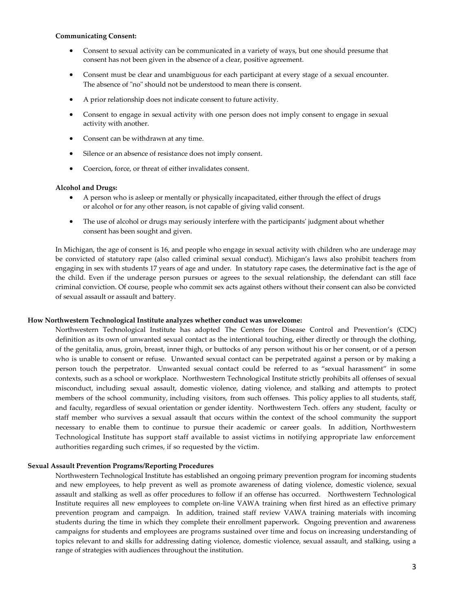#### **Communicating Consent:**

- Consent to sexual activity can be communicated in a variety of ways, but one should presume that consent has not been given in the absence of a clear, positive agreement.
- Consent must be clear and unambiguous for each participant at every stage of a sexual encounter. The absence of "no" should not be understood to mean there is consent.
- A prior relationship does not indicate consent to future activity.
- Consent to engage in sexual activity with one person does not imply consent to engage in sexual activity with another.
- Consent can be withdrawn at any time.
- Silence or an absence of resistance does not imply consent.
- Coercion, force, or threat of either invalidates consent.

#### **Alcohol and Drugs:**

- A person who is asleep or mentally or physically incapacitated, either through the effect of drugs or alcohol or for any other reason, is not capable of giving valid consent.
- The use of alcohol or drugs may seriously interfere with the participants' judgment about whether consent has been sought and given.

In Michigan, the age of consent is 16, and people who engage in sexual activity with children who are underage may be convicted of statutory rape (also called criminal sexual conduct). Michigan's laws also prohibit teachers from engaging in sex with students 17 years of age and under. In statutory rape cases, the determinative fact is the age of the child. Even if the underage person pursues or agrees to the sexual relationship, the defendant can still face criminal conviction. Of course, people who commit sex acts against others without their consent can also be convicted of sexual assault or assault and battery.

#### **How Northwestern Technological Institute analyzes whether conduct was unwelcome:**

Northwestern Technological Institute has adopted The Centers for Disease Control and Prevention's (CDC) definition as its own of unwanted sexual contact as the intentional touching, either directly or through the clothing, of the genitalia, anus, groin, breast, inner thigh, or buttocks of any person without his or her consent, or of a person who is unable to consent or refuse. Unwanted sexual contact can be perpetrated against a person or by making a person touch the perpetrator. Unwanted sexual contact could be referred to as "sexual harassment" in some contexts, such as a school or workplace. Northwestern Technological Institute strictly prohibits all offenses of sexual misconduct, including sexual assault, domestic violence, dating violence, and stalking and attempts to protect members of the school community, including visitors, from such offenses. This policy applies to all students, staff, and faculty, regardless of sexual orientation or gender identity. Northwestern Tech. offers any student, faculty or staff member who survives a sexual assault that occurs within the context of the school community the support necessary to enable them to continue to pursue their academic or career goals. In addition, Northwestern Technological Institute has support staff available to assist victims in notifying appropriate law enforcement authorities regarding such crimes, if so requested by the victim.

# **Sexual Assault Prevention Programs/Reporting Procedures**

Northwestern Technological Institute has established an ongoing primary prevention program for incoming students and new employees, to help prevent as well as promote awareness of dating violence, domestic violence, sexual assault and stalking as well as offer procedures to follow if an offense has occurred. Northwestern Technological Institute requires all new employees to complete on-line VAWA training when first hired as an effective primary prevention program and campaign. In addition, trained staff review VAWA training materials with incoming students during the time in which they complete their enrollment paperwork. Ongoing prevention and awareness campaigns for students and employees are programs sustained over time and focus on increasing understanding of topics relevant to and skills for addressing dating violence, domestic violence, sexual assault, and stalking, using a range of strategies with audiences throughout the institution.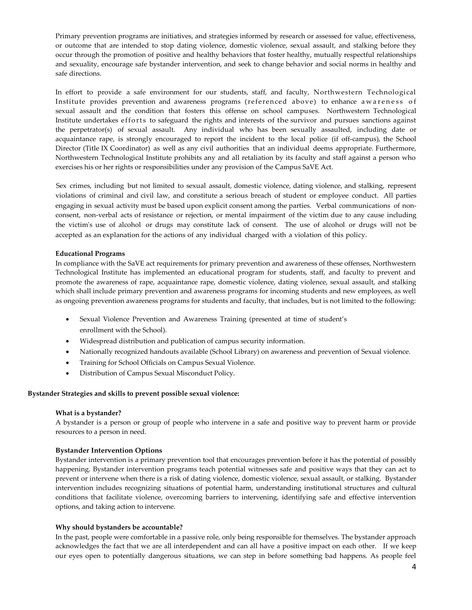Primary prevention programs are initiatives, and strategies informed by research or assessed for value, effectiveness, or outcome that are intended to stop dating violence, domestic violence, sexual assault, and stalking before they occur through the promotion of positive and healthy behaviors that foster healthy, mutually respectful relationships and sexuality, encourage safe bystander intervention, and seek to change behavior and social norms in healthy and safe directions.

In effort to provide a safe environment for our students, staff, and faculty, Northwestern Technological Institute provides prevention and awareness programs (referenced above) to enhance awareness of sexual assault and the condition that fosters this offense on school campuses. Northwestern Technological Institute undertakes efforts to safeguard the rights and interests of the survivor and pursues sanctions against the perpetrator(s) of sexual assault. Any individual who has been sexually assaulted, including date or acquaintance rape, is strongly encouraged to report the incident to the local police (if off-campus), the School Director (Title IX Coordinator) as well as any civil authorities that an individual deems appropriate. Furthermore, Northwestern Technological Institute prohibits any and all retaliation by its faculty and staff against a person who exercises his or her rights or responsibilities under any provision of the Campus SaVE Act.

Sex crimes, including but not limited to sexual assault, domestic violence, dating violence, and stalking, represent violations of criminal and civil law, and constitute a serious breach of student or employee conduct. All parties engaging in sexual activity must be based upon explicit consent among the parties. Verbal communications of nonconsent, non-verbal acts of resistance or rejection, or mental impairment of the victim due to any cause including the victim's use of alcohol or drugs may constitute lack of consent. The use of alcohol or drugs will not be accepted as an explanation for the actions of any individual charged with a violation of this policy.

# **Educational Programs**

In compliance with the SaVE act requirements for primary prevention and awareness of these offenses, Northwestern Technological Institute has implemented an educational program for students, staff, and faculty to prevent and promote the awareness of rape, acquaintance rape, domestic violence, dating violence, sexual assault, and stalking which shall include primary prevention and awareness programs for incoming students and new employees, as well as ongoing prevention awareness programs for students and faculty, that includes, but is not limited to the following:

- Sexual Violence Prevention and Awareness Training (presented at time of student's enrollment with the School).
- Widespread distribution and publication of campus security information.
- Nationally recognized handouts available (School Library) on awareness and prevention of Sexual violence.
- Training for School Officials on Campus Sexual Violence.
- Distribution of Campus Sexual Misconduct Policy.

# **Bystander Strategies and skills to prevent possible sexual violence:**

# **What is a bystander?**

A bystander is a person or group of people who intervene in a safe and positive way to prevent harm or provide resources to a person in need.

# **Bystander Intervention Options**

Bystander intervention is a primary prevention tool that encourages prevention before it has the potential of possibly happening. Bystander intervention programs teach potential witnesses safe and positive ways that they can act to prevent or intervene when there is a risk of dating violence, domestic violence, sexual assault, or stalking. Bystander intervention includes recognizing situations of potential harm, understanding institutional structures and cultural conditions that facilitate violence, overcoming barriers to intervening, identifying safe and effective intervention options, and taking action to intervene.

# **Why should bystanders be accountable?**

In the past, people were comfortable in a passive role, only being responsible for themselves. The bystander approach acknowledges the fact that we are all interdependent and can all have a positive impact on each other. If we keep our eyes open to potentially dangerous situations, we can step in before something bad happens. As people feel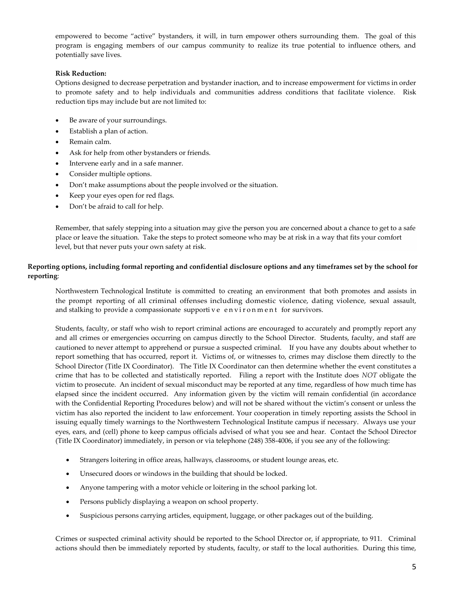empowered to become "active" bystanders, it will, in turn empower others surrounding them. The goal of this program is engaging members of our campus community to realize its true potential to influence others, and potentially save lives.

# **Risk Reduction:**

Options designed to decrease perpetration and bystander inaction, and to increase empowerment for victims in order to promote safety and to help individuals and communities address conditions that facilitate violence. Risk reduction tips may include but are not limited to:

- Be aware of your surroundings.
- Establish a plan of action.
- Remain calm.
- Ask for help from other bystanders or friends.
- Intervene early and in a safe manner.
- Consider multiple options.
- Don't make assumptions about the people involved or the situation.
- Keep your eyes open for red flags.
- Don't be afraid to call for help.

Remember, that safely stepping into a situation may give the person you are concerned about a chance to get to a safe place or leave the situation. Take the steps to protect someone who may be at risk in a way that fits your comfort level, but that never puts your own safety at risk.

# **Reporting options, including formal reporting and confidential disclosure options and any timeframes set by the school for reporting**:

Northwestern Technological Institute is committed to creating an environment that both promotes and assists in the prompt reporting of all criminal offenses including domestic violence, dating violence, sexual assault, and stalking to provide a compassionate supportive environment for survivors.

Students, faculty, or staff who wish to report criminal actions are encouraged to accurately and promptly report any and all crimes or emergencies occurring on campus directly to the School Director. Students, faculty, and staff are cautioned to never attempt to apprehend or pursue a suspected criminal. If you have any doubts about whether to report something that has occurred, report it. Victims of, or witnesses to, crimes may disclose them directly to the School Director (Title IX Coordinator). The Title IX Coordinator can then determine whether the event constitutes a crime that has to be collected and statistically reported. Filing a report with the Institute does *NOT* obligate the victim to prosecute. An incident of sexual misconduct may be reported at any time, regardless of how much time has elapsed since the incident occurred. Any information given by the victim will remain confidential (in accordance with the Confidential Reporting Procedures below) and will not be shared without the victim's consent or unless the victim has also reported the incident to law enforcement. Your cooperation in timely reporting assists the School in issuing equally timely warnings to the Northwestern Technological Institute campus if necessary. Always use your eyes, ears, and (cell) phone to keep campus officials advised of what you see and hear. Contact the School Director (Title IX Coordinator) immediately, in person or via telephone (248) 358-4006, if you see any of the following:

- Strangers loitering in office areas, hallways, classrooms, or student lounge areas, etc.
- Unsecured doors or windows in the building that should be locked.
- Anyone tampering with a motor vehicle or loitering in the school parking lot.
- Persons publicly displaying a weapon on school property.
- Suspicious persons carrying articles, equipment, luggage, or other packages out of the building.

Crimes or suspected criminal activity should be reported to the School Director or, if appropriate, to 911. Criminal actions should then be immediately reported by students, faculty, or staff to the local authorities. During this time,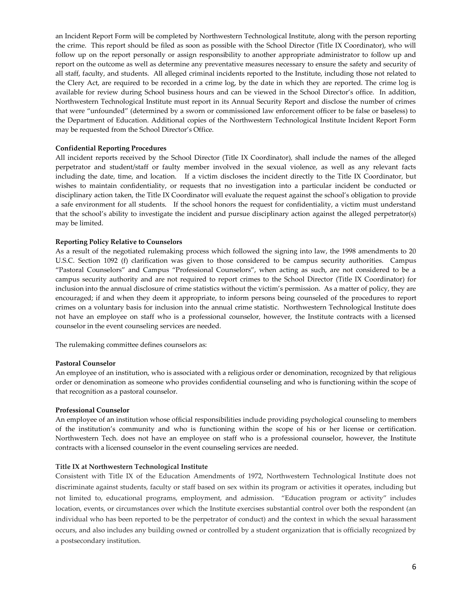an Incident Report Form will be completed by Northwestern Technological Institute, along with the person reporting the crime. This report should be filed as soon as possible with the School Director (Title IX Coordinator), who will follow up on the report personally or assign responsibility to another appropriate administrator to follow up and report on the outcome as well as determine any preventative measures necessary to ensure the safety and security of all staff, faculty, and students. All alleged criminal incidents reported to the Institute, including those not related to the Clery Act, are required to be recorded in a crime log, by the date in which they are reported. The crime log is available for review during School business hours and can be viewed in the School Director's office. In addition, Northwestern Technological Institute must report in its Annual Security Report and disclose the number of crimes that were "unfounded" (determined by a sworn or commissioned law enforcement officer to be false or baseless) to the Department of Education. Additional copies of the Northwestern Technological Institute Incident Report Form may be requested from the School Director's Office.

## **Confidential Reporting Procedures**

All incident reports received by the School Director (Title IX Coordinator), shall include the names of the alleged perpetrator and student/staff or faulty member involved in the sexual violence, as well as any relevant facts including the date, time, and location. If a victim discloses the incident directly to the Title IX Coordinator, but wishes to maintain confidentiality, or requests that no investigation into a particular incident be conducted or disciplinary action taken, the Title IX Coordinator will evaluate the request against the school's obligation to provide a safe environment for all students. If the school honors the request for confidentiality, a victim must understand that the school's ability to investigate the incident and pursue disciplinary action against the alleged perpetrator(s) may be limited.

#### **Reporting Policy Relative to Counselors**

As a result of the negotiated rulemaking process which followed the signing into law, the 1998 amendments to 20 U.S.C. Section 1092 (f) clarification was given to those considered to be campus security authorities. Campus "Pastoral Counselors" and Campus "Professional Counselors", when acting as such, are not considered to be a campus security authority and are not required to report crimes to the School Director (Title IX Coordinator) for inclusion into the annual disclosure of crime statistics without the victim's permission. As a matter of policy, they are encouraged; if and when they deem it appropriate, to inform persons being counseled of the procedures to report crimes on a voluntary basis for inclusion into the annual crime statistic. Northwestern Technological Institute does not have an employee on staff who is a professional counselor, however, the Institute contracts with a licensed counselor in the event counseling services are needed.

The rulemaking committee defines counselors as:

## **Pastoral Counselor**

An employee of an institution, who is associated with a religious order or denomination, recognized by that religious order or denomination as someone who provides confidential counseling and who is functioning within the scope of that recognition as a pastoral counselor.

## **Professional Counselor**

An employee of an institution whose official responsibilities include providing psychological counseling to members of the institution's community and who is functioning within the scope of his or her license or certification. Northwestern Tech. does not have an employee on staff who is a professional counselor, however, the Institute contracts with a licensed counselor in the event counseling services are needed.

## **Title IX at Northwestern Technological Institute**

Consistent with Title IX of the Education Amendments of 1972, Northwestern Technological Institute does not discriminate against students, faculty or staff based on sex within its program or activities it operates, including but not limited to, educational programs, employment, and admission. "Education program or activity" includes location, events, or circumstances over which the Institute exercises substantial control over both the respondent (an individual who has been reported to be the perpetrator of conduct) and the context in which the sexual harassment occurs, and also includes any building owned or controlled by a student organization that is officially recognized by a postsecondary institution.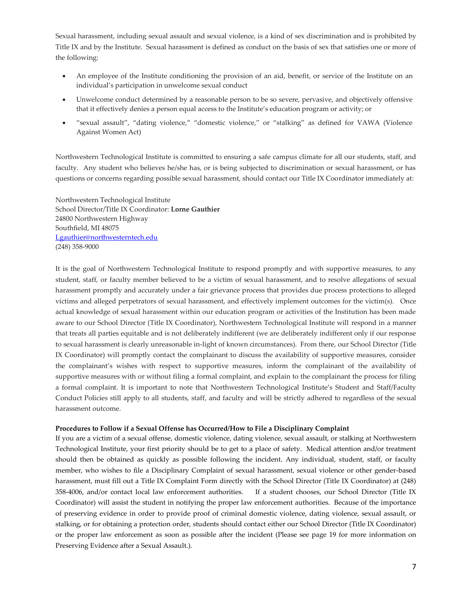Sexual harassment, including sexual assault and sexual violence, is a kind of sex discrimination and is prohibited by Title IX and by the Institute. Sexual harassment is defined as conduct on the basis of sex that satisfies one or more of the following:

- An employee of the Institute conditioning the provision of an aid, benefit, or service of the Institute on an individual's participation in unwelcome sexual conduct
- Unwelcome conduct determined by a reasonable person to be so severe, pervasive, and objectively offensive that it effectively denies a person equal access to the Institute's education program or activity; or
- "sexual assault", "dating violence," "domestic violence," or "stalking" as defined for VAWA (Violence Against Women Act)

Northwestern Technological Institute is committed to ensuring a safe campus climate for all our students, staff, and faculty. Any student who believes he/she has, or is being subjected to discrimination or sexual harassment, or has questions or concerns regarding possible sexual harassment, should contact our Title IX Coordinator immediately at:

Northwestern Technological Institute School Director/Title IX Coordinator: **Lorne Gauthier** 24800 Northwestern Highway Southfield, MI 48075 [Lgauthier@northwesterntech.edu](mailto:Lgauthier@northwesterntech.edu) (248) 358-9000

It is the goal of Northwestern Technological Institute to respond promptly and with supportive measures, to any student, staff, or faculty member believed to be a victim of sexual harassment, and to resolve allegations of sexual harassment promptly and accurately under a fair grievance process that provides due process protections to alleged victims and alleged perpetrators of sexual harassment, and effectively implement outcomes for the victim(s). Once actual knowledge of sexual harassment within our education program or activities of the Institution has been made aware to our School Director (Title IX Coordinator), Northwestern Technological Institute will respond in a manner that treats all parties equitable and is not deliberately indifferent (we are deliberately indifferent only if our response to sexual harassment is clearly unreasonable in-light of known circumstances). From there, our School Director (Title IX Coordinator) will promptly contact the complainant to discuss the availability of supportive measures, consider the complainant's wishes with respect to supportive measures, inform the complainant of the availability of supportive measures with or without filing a formal complaint, and explain to the complainant the process for filing a formal complaint. It is important to note that Northwestern Technological Institute's Student and Staff/Faculty Conduct Policies still apply to all students, staff, and faculty and will be strictly adhered to regardless of the sexual harassment outcome.

# **Procedures to Follow if a Sexual Offense has Occurred/How to File a Disciplinary Complaint**

If you are a victim of a sexual offense, domestic violence, dating violence, sexual assault, or stalking at Northwestern Technological Institute, your first priority should be to get to a place of safety. Medical attention and/or treatment should then be obtained as quickly as possible following the incident. Any individual, student, staff, or faculty member, who wishes to file a Disciplinary Complaint of sexual harassment, sexual violence or other gender-based harassment, must fill out a Title IX Complaint Form directly with the School Director (Title IX Coordinator) at (248) 358-4006, and/or contact local law enforcement authorities. If a student chooses, our School Director (Title IX Coordinator) will assist the student in notifying the proper law enforcement authorities. Because of the importance of preserving evidence in order to provide proof of criminal domestic violence, dating violence, sexual assault, or stalking, or for obtaining a protection order, students should contact either our School Director (Title IX Coordinator) or the proper law enforcement as soon as possible after the incident (Please see page 19 for more information on Preserving Evidence after a Sexual Assault.).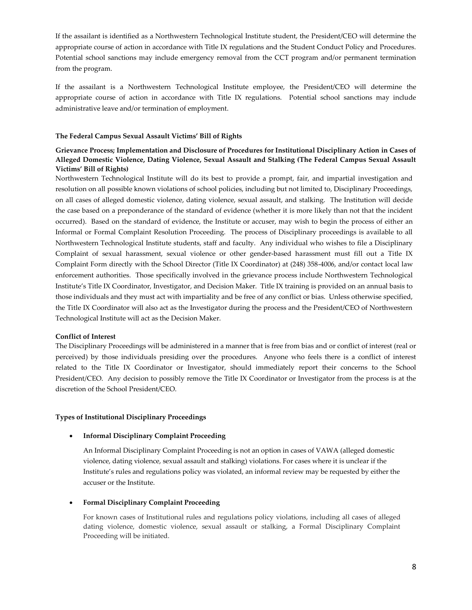If the assailant is identified as a Northwestern Technological Institute student, the President/CEO will determine the appropriate course of action in accordance with Title IX regulations and the Student Conduct Policy and Procedures. Potential school sanctions may include emergency removal from the CCT program and/or permanent termination from the program.

If the assailant is a Northwestern Technological Institute employee, the President/CEO will determine the appropriate course of action in accordance with Title IX regulations. Potential school sanctions may include administrative leave and/or termination of employment.

# **The Federal Campus Sexual Assault Victims' Bill of Rights**

# **Grievance Process; Implementation and Disclosure of Procedures for Institutional Disciplinary Action in Cases of Alleged Domestic Violence, Dating Violence, Sexual Assault and Stalking (The Federal Campus Sexual Assault Victims' Bill of Rights)**

Northwestern Technological Institute will do its best to provide a prompt, fair, and impartial investigation and resolution on all possible known violations of school policies, including but not limited to, Disciplinary Proceedings, on all cases of alleged domestic violence, dating violence, sexual assault, and stalking. The Institution will decide the case based on a preponderance of the standard of evidence (whether it is more likely than not that the incident occurred). Based on the standard of evidence, the Institute or accuser, may wish to begin the process of either an Informal or Formal Complaint Resolution Proceeding. The process of Disciplinary proceedings is available to all Northwestern Technological Institute students, staff and faculty. Any individual who wishes to file a Disciplinary Complaint of sexual harassment, sexual violence or other gender-based harassment must fill out a Title IX Complaint Form directly with the School Director (Title IX Coordinator) at (248) 358-4006, and/or contact local law enforcement authorities. Those specifically involved in the grievance process include Northwestern Technological Institute's Title IX Coordinator, Investigator, and Decision Maker. Title IX training is provided on an annual basis to those individuals and they must act with impartiality and be free of any conflict or bias. Unless otherwise specified, the Title IX Coordinator will also act as the Investigator during the process and the President/CEO of Northwestern Technological Institute will act as the Decision Maker.

#### **Conflict of Interest**

The Disciplinary Proceedings will be administered in a manner that is free from bias and or conflict of interest (real or perceived) by those individuals presiding over the procedures. Anyone who feels there is a conflict of interest related to the Title IX Coordinator or Investigator, should immediately report their concerns to the School President/CEO. Any decision to possibly remove the Title IX Coordinator or Investigator from the process is at the discretion of the School President/CEO.

## **Types of Institutional Disciplinary Proceedings**

# • **Informal Disciplinary Complaint Proceeding**

An Informal Disciplinary Complaint Proceeding is not an option in cases of VAWA (alleged domestic violence, dating violence, sexual assault and stalking) violations. For cases where it is unclear if the Institute's rules and regulations policy was violated, an informal review may be requested by either the accuser or the Institute.

## • **Formal Disciplinary Complaint Proceeding**

For known cases of Institutional rules and regulations policy violations, including all cases of alleged dating violence, domestic violence, sexual assault or stalking, a Formal Disciplinary Complaint Proceeding will be initiated.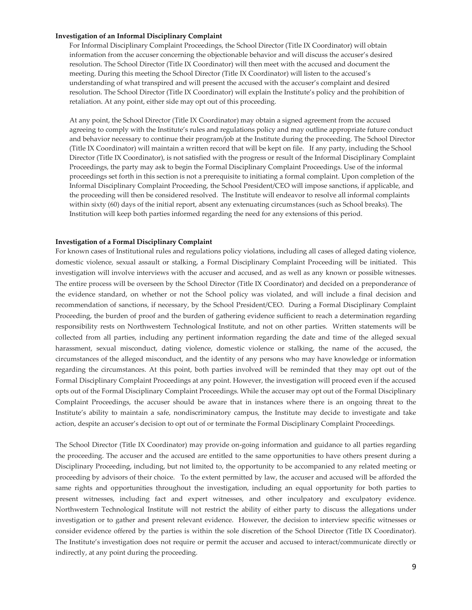#### **Investigation of an Informal Disciplinary Complaint**

For Informal Disciplinary Complaint Proceedings, the School Director (Title IX Coordinator) will obtain information from the accuser concerning the objectionable behavior and will discuss the accuser's desired resolution. The School Director (Title IX Coordinator) will then meet with the accused and document the meeting. During this meeting the School Director (Title IX Coordinator) will listen to the accused's understanding of what transpired and will present the accused with the accuser's complaint and desired resolution. The School Director (Title IX Coordinator) will explain the Institute's policy and the prohibition of retaliation. At any point, either side may opt out of this proceeding.

At any point, the School Director (Title IX Coordinator) may obtain a signed agreement from the accused agreeing to comply with the Institute's rules and regulations policy and may outline appropriate future conduct and behavior necessary to continue their program/job at the Institute during the proceeding. The School Director (Title IX Coordinator) will maintain a written record that will be kept on file. If any party, including the School Director (Title IX Coordinator), is not satisfied with the progress or result of the Informal Disciplinary Complaint Proceedings, the party may ask to begin the Formal Disciplinary Complaint Proceedings. Use of the informal proceedings set forth in this section is not a prerequisite to initiating a formal complaint. Upon completion of the Informal Disciplinary Complaint Proceeding, the School President/CEO will impose sanctions, if applicable, and the proceeding will then be considered resolved. The Institute will endeavor to resolve all informal complaints within sixty (60) days of the initial report, absent any extenuating circumstances (such as School breaks). The Institution will keep both parties informed regarding the need for any extensions of this period.

#### **Investigation of a Formal Disciplinary Complaint**

For known cases of Institutional rules and regulations policy violations, including all cases of alleged dating violence, domestic violence, sexual assault or stalking, a Formal Disciplinary Complaint Proceeding will be initiated. This investigation will involve interviews with the accuser and accused, and as well as any known or possible witnesses. The entire process will be overseen by the School Director (Title IX Coordinator) and decided on a preponderance of the evidence standard, on whether or not the School policy was violated, and will include a final decision and recommendation of sanctions, if necessary, by the School President/CEO. During a Formal Disciplinary Complaint Proceeding, the burden of proof and the burden of gathering evidence sufficient to reach a determination regarding responsibility rests on Northwestern Technological Institute, and not on other parties. Written statements will be collected from all parties, including any pertinent information regarding the date and time of the alleged sexual harassment, sexual misconduct, dating violence, domestic violence or stalking, the name of the accused, the circumstances of the alleged misconduct, and the identity of any persons who may have knowledge or information regarding the circumstances. At this point, both parties involved will be reminded that they may opt out of the Formal Disciplinary Complaint Proceedings at any point. However, the investigation will proceed even if the accused opts out of the Formal Disciplinary Complaint Proceedings. While the accuser may opt out of the Formal Disciplinary Complaint Proceedings, the accuser should be aware that in instances where there is an ongoing threat to the Institute's ability to maintain a safe, nondiscriminatory campus, the Institute may decide to investigate and take action, despite an accuser's decision to opt out of or terminate the Formal Disciplinary Complaint Proceedings.

The School Director (Title IX Coordinator) may provide on-going information and guidance to all parties regarding the proceeding. The accuser and the accused are entitled to the same opportunities to have others present during a Disciplinary Proceeding, including, but not limited to, the opportunity to be accompanied to any related meeting or proceeding by advisors of their choice. To the extent permitted by law, the accuser and accused will be afforded the same rights and opportunities throughout the investigation, including an equal opportunity for both parties to present witnesses, including fact and expert witnesses, and other inculpatory and exculpatory evidence. Northwestern Technological Institute will not restrict the ability of either party to discuss the allegations under investigation or to gather and present relevant evidence. However, the decision to interview specific witnesses or consider evidence offered by the parties is within the sole discretion of the School Director (Title IX Coordinator). The Institute's investigation does not require or permit the accuser and accused to interact/communicate directly or indirectly, at any point during the proceeding.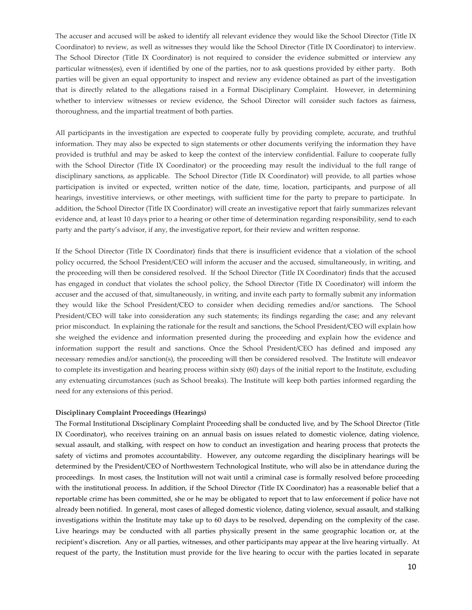The accuser and accused will be asked to identify all relevant evidence they would like the School Director (Title IX Coordinator) to review, as well as witnesses they would like the School Director (Title IX Coordinator) to interview. The School Director (Title IX Coordinator) is not required to consider the evidence submitted or interview any particular witness(es), even if identified by one of the parties, nor to ask questions provided by either party. Both parties will be given an equal opportunity to inspect and review any evidence obtained as part of the investigation that is directly related to the allegations raised in a Formal Disciplinary Complaint. However, in determining whether to interview witnesses or review evidence, the School Director will consider such factors as fairness, thoroughness, and the impartial treatment of both parties.

All participants in the investigation are expected to cooperate fully by providing complete, accurate, and truthful information. They may also be expected to sign statements or other documents verifying the information they have provided is truthful and may be asked to keep the context of the interview confidential. Failure to cooperate fully with the School Director (Title IX Coordinator) or the proceeding may result the individual to the full range of disciplinary sanctions, as applicable. The School Director (Title IX Coordinator) will provide, to all parties whose participation is invited or expected, written notice of the date, time, location, participants, and purpose of all hearings, investitive interviews, or other meetings, with sufficient time for the party to prepare to participate. In addition, the School Director (Title IX Coordinator) will create an investigative report that fairly summarizes relevant evidence and, at least 10 days prior to a hearing or other time of determination regarding responsibility, send to each party and the party's advisor, if any, the investigative report, for their review and written response.

If the School Director (Title IX Coordinator) finds that there is insufficient evidence that a violation of the school policy occurred, the School President/CEO will inform the accuser and the accused, simultaneously, in writing, and the proceeding will then be considered resolved. If the School Director (Title IX Coordinator) finds that the accused has engaged in conduct that violates the school policy, the School Director (Title IX Coordinator) will inform the accuser and the accused of that, simultaneously, in writing, and invite each party to formally submit any information they would like the School President/CEO to consider when deciding remedies and/or sanctions. The School President/CEO will take into consideration any such statements; its findings regarding the case; and any relevant prior misconduct. In explaining the rationale for the result and sanctions, the School President/CEO will explain how she weighed the evidence and information presented during the proceeding and explain how the evidence and information support the result and sanctions. Once the School President/CEO has defined and imposed any necessary remedies and/or sanction(s), the proceeding will then be considered resolved. The Institute will endeavor to complete its investigation and hearing process within sixty (60) days of the initial report to the Institute, excluding any extenuating circumstances (such as School breaks). The Institute will keep both parties informed regarding the need for any extensions of this period.

# **Disciplinary Complaint Proceedings (Hearings)**

The Formal Institutional Disciplinary Complaint Proceeding shall be conducted live, and by The School Director (Title IX Coordinator), who receives training on an annual basis on issues related to domestic violence, dating violence, sexual assault, and stalking, with respect on how to conduct an investigation and hearing process that protects the safety of victims and promotes accountability. However, any outcome regarding the disciplinary hearings will be determined by the President/CEO of Northwestern Technological Institute, who will also be in attendance during the proceedings. In most cases, the Institution will not wait until a criminal case is formally resolved before proceeding with the institutional process. In addition, if the School Director (Title IX Coordinator) has a reasonable belief that a reportable crime has been committed, she or he may be obligated to report that to law enforcement if police have not already been notified. In general, most cases of alleged domestic violence, dating violence, sexual assault, and stalking investigations within the Institute may take up to 60 days to be resolved, depending on the complexity of the case. Live hearings may be conducted with all parties physically present in the same geographic location or, at the recipient's discretion. Any or all parties, witnesses, and other participants may appear at the live hearing virtually. At request of the party, the Institution must provide for the live hearing to occur with the parties located in separate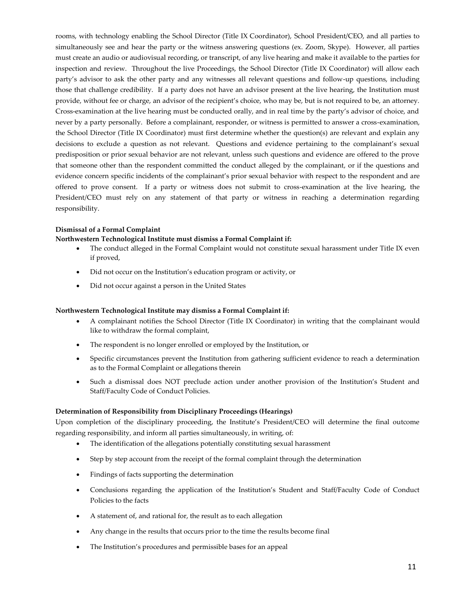rooms, with technology enabling the School Director (Title IX Coordinator), School President/CEO, and all parties to simultaneously see and hear the party or the witness answering questions (ex. Zoom, Skype). However, all parties must create an audio or audiovisual recording, or transcript, of any live hearing and make it available to the parties for inspection and review. Throughout the live Proceedings, the School Director (Title IX Coordinator) will allow each party's advisor to ask the other party and any witnesses all relevant questions and follow-up questions, including those that challenge credibility. If a party does not have an advisor present at the live hearing, the Institution must provide, without fee or charge, an advisor of the recipient's choice, who may be, but is not required to be, an attorney. Cross-examination at the live hearing must be conducted orally, and in real time by the party's advisor of choice, and never by a party personally. Before a complainant, responder, or witness is permitted to answer a cross-examination, the School Director (Title IX Coordinator) must first determine whether the question(s) are relevant and explain any decisions to exclude a question as not relevant. Questions and evidence pertaining to the complainant's sexual predisposition or prior sexual behavior are not relevant, unless such questions and evidence are offered to the prove that someone other than the respondent committed the conduct alleged by the complainant, or if the questions and evidence concern specific incidents of the complainant's prior sexual behavior with respect to the respondent and are offered to prove consent. If a party or witness does not submit to cross-examination at the live hearing, the President/CEO must rely on any statement of that party or witness in reaching a determination regarding responsibility.

# **Dismissal of a Formal Complaint**

# **Northwestern Technological Institute must dismiss a Formal Complaint if:**

- The conduct alleged in the Formal Complaint would not constitute sexual harassment under Title IX even if proved,
- Did not occur on the Institution's education program or activity, or
- Did not occur against a person in the United States

# **Northwestern Technological Institute may dismiss a Formal Complaint if:**

- A complainant notifies the School Director (Title IX Coordinator) in writing that the complainant would like to withdraw the formal complaint,
- The respondent is no longer enrolled or employed by the Institution, or
- Specific circumstances prevent the Institution from gathering sufficient evidence to reach a determination as to the Formal Complaint or allegations therein
- Such a dismissal does NOT preclude action under another provision of the Institution's Student and Staff/Faculty Code of Conduct Policies.

#### **Determination of Responsibility from Disciplinary Proceedings (Hearings)**

Upon completion of the disciplinary proceeding, the Institute's President/CEO will determine the final outcome regarding responsibility, and inform all parties simultaneously, in writing, of:

- The identification of the allegations potentially constituting sexual harassment
- Step by step account from the receipt of the formal complaint through the determination
- Findings of facts supporting the determination
- Conclusions regarding the application of the Institution's Student and Staff/Faculty Code of Conduct Policies to the facts
- A statement of, and rational for, the result as to each allegation
- Any change in the results that occurs prior to the time the results become final
- The Institution's procedures and permissible bases for an appeal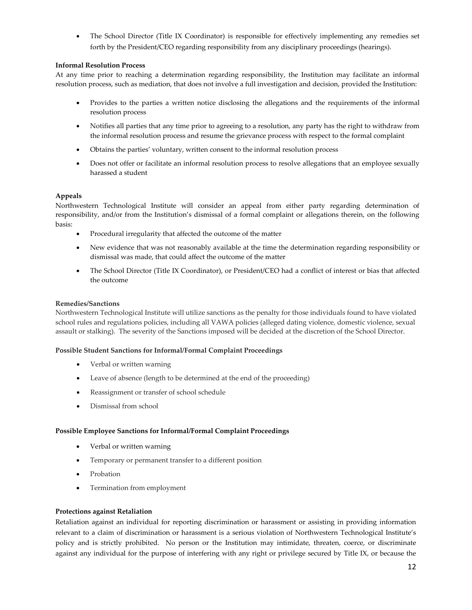• The School Director (Title IX Coordinator) is responsible for effectively implementing any remedies set forth by the President/CEO regarding responsibility from any disciplinary proceedings (hearings).

# **Informal Resolution Process**

At any time prior to reaching a determination regarding responsibility, the Institution may facilitate an informal resolution process, such as mediation, that does not involve a full investigation and decision, provided the Institution:

- Provides to the parties a written notice disclosing the allegations and the requirements of the informal resolution process
- Notifies all parties that any time prior to agreeing to a resolution, any party has the right to withdraw from the informal resolution process and resume the grievance process with respect to the formal complaint
- Obtains the parties' voluntary, written consent to the informal resolution process
- Does not offer or facilitate an informal resolution process to resolve allegations that an employee sexually harassed a student

# **Appeals**

Northwestern Technological Institute will consider an appeal from either party regarding determination of responsibility, and/or from the Institution's dismissal of a formal complaint or allegations therein, on the following basis:

- Procedural irregularity that affected the outcome of the matter
- New evidence that was not reasonably available at the time the determination regarding responsibility or dismissal was made, that could affect the outcome of the matter
- The School Director (Title IX Coordinator), or President/CEO had a conflict of interest or bias that affected the outcome

# **Remedies/Sanctions**

Northwestern Technological Institute will utilize sanctions as the penalty for those individuals found to have violated school rules and regulations policies, including all VAWA policies (alleged dating violence, domestic violence, sexual assault or stalking). The severity of the Sanctions imposed will be decided at the discretion of the School Director.

# **Possible Student Sanctions for Informal/Formal Complaint Proceedings**

- Verbal or written warning
- Leave of absence (length to be determined at the end of the proceeding)
- Reassignment or transfer of school schedule
- Dismissal from school

# **Possible Employee Sanctions for Informal/Formal Complaint Proceedings**

- Verbal or written warning
- Temporary or permanent transfer to a different position
- Probation
- Termination from employment

# **Protections against Retaliation**

Retaliation against an individual for reporting discrimination or harassment or assisting in providing information relevant to a claim of discrimination or harassment is a serious violation of Northwestern Technological Institute's policy and is strictly prohibited. No person or the Institution may intimidate, threaten, coerce, or discriminate against any individual for the purpose of interfering with any right or privilege secured by Title IX, or because the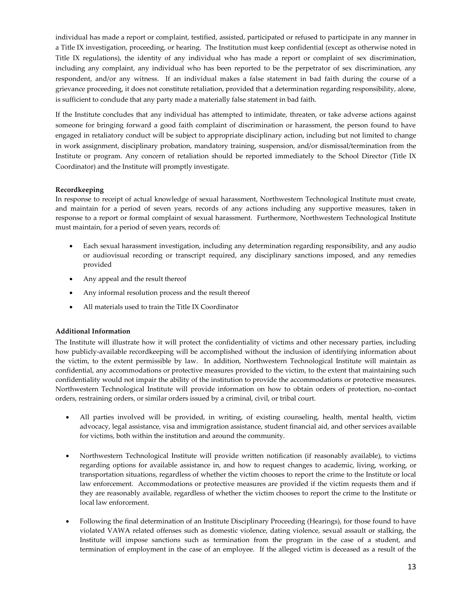individual has made a report or complaint, testified, assisted, participated or refused to participate in any manner in a Title IX investigation, proceeding, or hearing. The Institution must keep confidential (except as otherwise noted in Title IX regulations), the identity of any individual who has made a report or complaint of sex discrimination, including any complaint, any individual who has been reported to be the perpetrator of sex discrimination, any respondent, and/or any witness. If an individual makes a false statement in bad faith during the course of a grievance proceeding, it does not constitute retaliation, provided that a determination regarding responsibility, alone, is sufficient to conclude that any party made a materially false statement in bad faith.

If the Institute concludes that any individual has attempted to intimidate, threaten, or take adverse actions against someone for bringing forward a good faith complaint of discrimination or harassment, the person found to have engaged in retaliatory conduct will be subject to appropriate disciplinary action, including but not limited to change in work assignment, disciplinary probation, mandatory training, suspension, and/or dismissal/termination from the Institute or program. Any concern of retaliation should be reported immediately to the School Director (Title IX Coordinator) and the Institute will promptly investigate.

# **Recordkeeping**

In response to receipt of actual knowledge of sexual harassment, Northwestern Technological Institute must create, and maintain for a period of seven years, records of any actions including any supportive measures, taken in response to a report or formal complaint of sexual harassment. Furthermore, Northwestern Technological Institute must maintain, for a period of seven years, records of:

- Each sexual harassment investigation, including any determination regarding responsibility, and any audio or audiovisual recording or transcript required, any disciplinary sanctions imposed, and any remedies provided
- Any appeal and the result thereof
- Any informal resolution process and the result thereof
- All materials used to train the Title IX Coordinator

# **Additional Information**

The Institute will illustrate how it will protect the confidentiality of victims and other necessary parties, including how publicly-available recordkeeping will be accomplished without the inclusion of identifying information about the victim, to the extent permissible by law. In addition, Northwestern Technological Institute will maintain as confidential, any accommodations or protective measures provided to the victim, to the extent that maintaining such confidentiality would not impair the ability of the institution to provide the accommodations or protective measures. Northwestern Technological Institute will provide information on how to obtain orders of protection, no-contact orders, restraining orders, or similar orders issued by a criminal, civil, or tribal court.

- All parties involved will be provided, in writing, of existing counseling, health, mental health, victim advocacy, legal assistance, visa and immigration assistance, student financial aid, and other services available for victims, both within the institution and around the community.
- Northwestern Technological Institute will provide written notification (if reasonably available), to victims regarding options for available assistance in, and how to request changes to academic, living, working, or transportation situations, regardless of whether the victim chooses to report the crime to the Institute or local law enforcement. Accommodations or protective measures are provided if the victim requests them and if they are reasonably available, regardless of whether the victim chooses to report the crime to the Institute or local law enforcement.
- Following the final determination of an Institute Disciplinary Proceeding (Hearings), for those found to have violated VAWA related offenses such as domestic violence, dating violence, sexual assault or stalking, the Institute will impose sanctions such as termination from the program in the case of a student, and termination of employment in the case of an employee. If the alleged victim is deceased as a result of the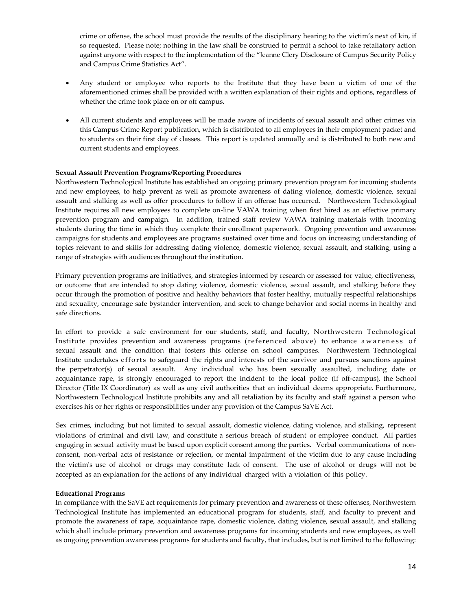crime or offense, the school must provide the results of the disciplinary hearing to the victim's next of kin, if so requested. Please note; nothing in the law shall be construed to permit a school to take retaliatory action against anyone with respect to the implementation of the "Jeanne Clery Disclosure of Campus Security Policy and Campus Crime Statistics Act".

- Any student or employee who reports to the Institute that they have been a victim of one of the aforementioned crimes shall be provided with a written explanation of their rights and options, regardless of whether the crime took place on or off campus.
- All current students and employees will be made aware of incidents of sexual assault and other crimes via this Campus Crime Report publication, which is distributed to all employees in their employment packet and to students on their first day of classes. This report is updated annually and is distributed to both new and current students and employees.

# **Sexual Assault Prevention Programs/Reporting Procedures**

Northwestern Technological Institute has established an ongoing primary prevention program for incoming students and new employees, to help prevent as well as promote awareness of dating violence, domestic violence, sexual assault and stalking as well as offer procedures to follow if an offense has occurred. Northwestern Technological Institute requires all new employees to complete on-line VAWA training when first hired as an effective primary prevention program and campaign. In addition, trained staff review VAWA training materials with incoming students during the time in which they complete their enrollment paperwork. Ongoing prevention and awareness campaigns for students and employees are programs sustained over time and focus on increasing understanding of topics relevant to and skills for addressing dating violence, domestic violence, sexual assault, and stalking, using a range of strategies with audiences throughout the institution.

Primary prevention programs are initiatives, and strategies informed by research or assessed for value, effectiveness, or outcome that are intended to stop dating violence, domestic violence, sexual assault, and stalking before they occur through the promotion of positive and healthy behaviors that foster healthy, mutually respectful relationships and sexuality, encourage safe bystander intervention, and seek to change behavior and social norms in healthy and safe directions.

In effort to provide a safe environment for our students, staff, and faculty, Northwestern Technological Institute provides prevention and awareness programs (referenced above) to enhance awareness of sexual assault and the condition that fosters this offense on school campuses. Northwestern Technological Institute undertakes efforts to safeguard the rights and interests of the survivor and pursues sanctions against the perpetrator(s) of sexual assault. Any individual who has been sexually assaulted, including date or acquaintance rape, is strongly encouraged to report the incident to the local police (if off-campus), the School Director (Title IX Coordinator) as well as any civil authorities that an individual deems appropriate. Furthermore, Northwestern Technological Institute prohibits any and all retaliation by its faculty and staff against a person who exercises his or her rights or responsibilities under any provision of the Campus SaVE Act.

Sex crimes, including but not limited to sexual assault, domestic violence, dating violence, and stalking, represent violations of criminal and civil law, and constitute a serious breach of student or employee conduct. All parties engaging in sexual activity must be based upon explicit consent among the parties. Verbal communications of nonconsent, non-verbal acts of resistance or rejection, or mental impairment of the victim due to any cause including the victim's use of alcohol or drugs may constitute lack of consent. The use of alcohol or drugs will not be accepted as an explanation for the actions of any individual charged with a violation of this policy.

# **Educational Programs**

In compliance with the SaVE act requirements for primary prevention and awareness of these offenses, Northwestern Technological Institute has implemented an educational program for students, staff, and faculty to prevent and promote the awareness of rape, acquaintance rape, domestic violence, dating violence, sexual assault, and stalking which shall include primary prevention and awareness programs for incoming students and new employees, as well as ongoing prevention awareness programs for students and faculty, that includes, but is not limited to the following: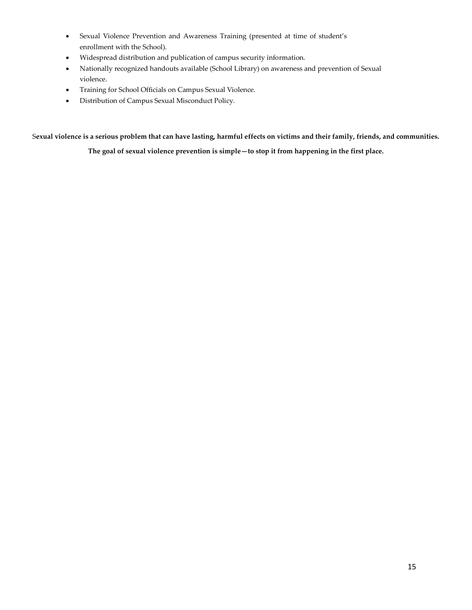- Sexual Violence Prevention and Awareness Training (presented at time of student's enrollment with the School).
- Widespread distribution and publication of campus security information.
- Nationally recognized handouts available (School Library) on awareness and prevention of Sexual violence.
- Training for School Officials on Campus Sexual Violence.
- Distribution of Campus Sexual Misconduct Policy.

S**exual violence is a serious problem that can have lasting, harmful effects on victims and their family, friends, and communities.** 

**The goal of sexual violence prevention is simple—to stop it from happening in the first place.**